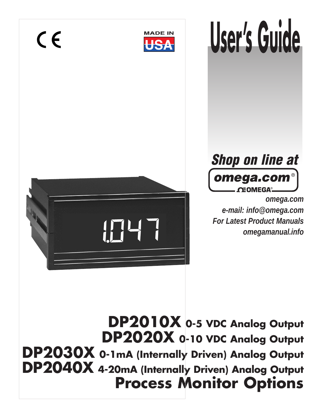

# **User's Guide**



 $C \in$ 



*omega.com e-mail: info@omega.com For Latest Product Manuals omegamanual.info*

**DP2010X 0-5 VDC Analog Output DP2020X 0-10 VDC Analog Output DP2030X 0-1mA (Internally Driven) Analog Output DP2040X 4-20mA (Internally Driven) Analog Output Process Monitor Options**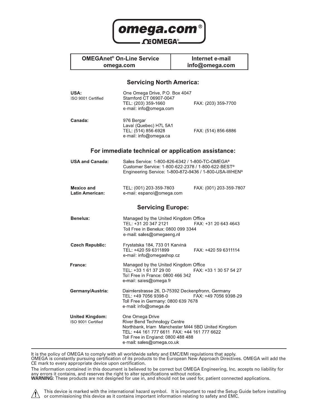

## **OMEGAnet<sup>®</sup> On-Line Service**

omega.com

Internet e-mail info@omega.com

#### **Servicing North America:**

| USA:<br>ISO 9001 Certified                   | One Omega Drive, PO Box 4047<br>Stamford CT 06907-0047<br>TEL: (203) 359-1660<br>e-mail: info@omega.com                                                                                                                 | FAX: (203) 359-7700     |
|----------------------------------------------|-------------------------------------------------------------------------------------------------------------------------------------------------------------------------------------------------------------------------|-------------------------|
| Canada:                                      | 976 Bergar<br>Laval (Quebec) H7L 5A1<br>TEL: (514) 856-6928<br>e-mail: info@omega.ca                                                                                                                                    | FAX: (514) 856-6886     |
|                                              | For immediate technical or application assistance:                                                                                                                                                                      |                         |
| <b>USA and Canada:</b>                       | Sales Service: 1-800-826-6342 / 1-800-TC-OMEGA <sup>®</sup><br>Customer Service: 1-800-622-2378 / 1-800-622-BEST <sup>®</sup><br>Engineering Service: 1-800-872-9436 / 1-800-USA-WHEN <sup>®</sup>                      |                         |
| Mexico and<br><b>Latin American:</b>         | TEL: (001) 203-359-7803<br>e-mail: espanol@omega.com                                                                                                                                                                    | FAX: (001) 203-359-7807 |
|                                              | <b>Servicing Europe:</b>                                                                                                                                                                                                |                         |
| Benelux:                                     | Managed by the United Kingdom Office<br>TEL: +31 20 347 2121<br>Toll Free in Benelux: 0800 099 3344<br>e-mail: sales@omegaeng.nl                                                                                        | FAX: +31 20 643 4643    |
| <b>Czech Republic:</b>                       | Frystatska 184, 733 01 Karviná<br>TEL: +420 59 6311899<br>e-mail: info@omegashop.cz                                                                                                                                     | FAX: +420 59 6311114    |
| France:                                      | Managed by the United Kingdom Office<br>TEL: +33 1 61 37 29 00<br>Toll Free in France: 0800 466 342<br>e-mail: sales@omega.fr                                                                                           | FAX: +33 1 30 57 54 27  |
| Germany/Austria:                             | Daimlerstrasse 26, D-75392 Deckenpfronn, Germany<br>TEL: +49 7056 9398-0<br>Toll Free in Germany: 0800 639 7678<br>e-mail: info@omega.de                                                                                | FAX: +49 7056 9398-29   |
| <b>United Kingdom:</b><br>ISO 9001 Certified | One Omega Drive<br>River Bend Technology Centre<br>Northbank, Irlam Manchester M44 5BD United Kingdom<br>TEL: +44 161 777 6611 FAX: +44 161 777 6622<br>Toll Free in England: 0800 488 488<br>e-mail: sales@omega.co.uk |                         |

It is the policy of OMEGA to comply with all worldwide safety and EMC/EMI regulations that apply. OMEGA is constantly pursuing certification of its products to the European New Approach Directives. OMEGA will add the CE mark to every appropriate device upon certification.

The information contained in this document is believed to be correct but OMEGA Engineering, Inc. accepts no liability for any errors it contains, and reserves the right to alter specifications without notice. **WARNING:** These products are not designed for use in, and should not be used for, patient connected applications.

This device is marked with the international hazard symbol. It is important to read the Setup Guide before installing



 $\Lambda$  interview is marked with the international nazard symbol. This important to read the STE.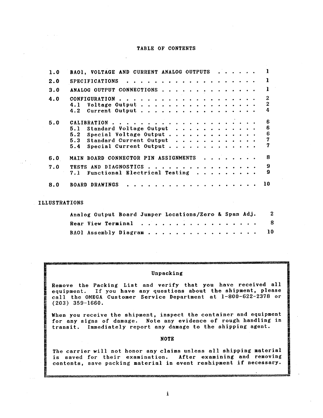#### TABLE OF CONTENTS

| 1.0 | BAO1, VOLTAGE AND CURRENT ANALOG OUTPUTS                                                                                                                            |  |
|-----|---------------------------------------------------------------------------------------------------------------------------------------------------------------------|--|
| 2.0 |                                                                                                                                                                     |  |
| 3.0 | ANALOG OUTPUT CONNECTIONS                                                                                                                                           |  |
| 4.0 | 2<br>$\boldsymbol{2}$<br>4.1 Voltage Output<br>4<br>4.2 Current Output                                                                                              |  |
| 5.0 | 6<br>6<br>5.1 Standard Voltage Output $\cdots$ ,<br>6<br>5.2 Special Voltage Output<br>7<br>5.3 Standard Current Output $\ldots$<br>7<br>5.4 Special Current Output |  |
| 6.0 | R<br>MAIN BOARD CONNECTOR PIN ASSIGNMENTS                                                                                                                           |  |
| 7.0 | 9<br>TESTS AND DIAGNOSTICS<br>$\mathbf{9}$<br>7.1 Functional Electrical Testing                                                                                     |  |
| 8.0 | . <i>.</i> .<br>10<br><b>BOARD DRAWINGS</b>                                                                                                                         |  |

#### **ILLUSTRATIONS**

| Analog Output Board Jumper Locations/Zero & Span Adj. | -2 |
|-------------------------------------------------------|----|
| Rear View Terminal                                    | -8 |
| BAOl Assembly Diagram 10                              |    |

#### Unpacking

Remove the Packing List and verify that you have received all equipment. If you have any questions about the shipment, please call the OMEGA Customer Service Department at 1-800-622-2378 or  $(203)$  359-1660.

When you receive the shipment, inspect the container and equipment for any signs of damage. Note any evidence of rough handling in transit. Immediately report any damage to the shipping agent.

#### **NOTE**

The carrier will not honor any claims unless all shipping material is saved for their examination. After examining and removing contents, save packing material in event reshipment if necessary.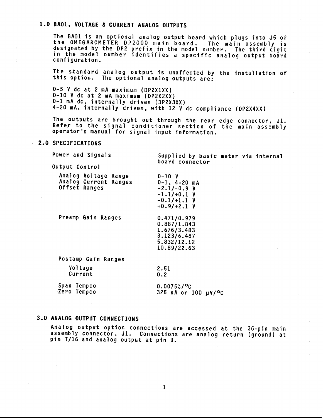#### 1.0 BA01, VOLTAGE & CURRENT ANALOG OUTPUTS

The BAO1 is an optional analog output board which plugs into J5 of the OMEGAROMETER DP2000 main board. The main assembly is designated by the DP2 prefix in the model number. The third digit in the model number identifies a specific analog output board configuration.

The standard analog output is unaffected by the installation of this option. The optional analog outputs are:

0-5 V dc at 2 mA maximum (DP2X1XX) 0-10 V dc at 2 mA maximum (DP2X2XX) 0-1 mA dc, internally driven (DP2X3XX) 4-20 mA, internally driven, with 12 V dc compliance (DP2X4XX)

The outputs are brought out through the rear edge connector, J1. Refer to the signal conditioner section of the main assembly operator's manual for signal input information.

 $0-10$  V

#### 2.0 SPECIFICATIONS

Power and Signals

Supplied by basic meter via internal board connector

Output Control

|               | Analog Voltage Range  |  |
|---------------|-----------------------|--|
|               | Analog Current Ranges |  |
| Offset Ranges |                       |  |
|               |                       |  |

Preamp Gain Ranges

 $+0.9/ +2.1 V$  $0.471/0.979$  $0.887/1.843$  $1.676/3.483$  $3.123/6.487$ 5.832/12.12 10.89/22.63

 $0-1$ ,  $4-20$  mA  $-2.1/-0.9 V$  $-1.1/+0.1 V$  $-0.1/+1.1$  V

Postamp Gain Ranges

**Voltage** Current

 $0.2$ 

Span Tempco  $0.0075\frac{g}{c}$ Zero Tempco 325 nA or 100 µV/<sup>o</sup>C

2.51

#### 3.0 ANALOG OUTPUT CONNECTIONS

Analog output option connections are accessed at the 36-pin main assembly connector, J1. Connections are analog return (ground) at pin T/16 and analog output at pin U.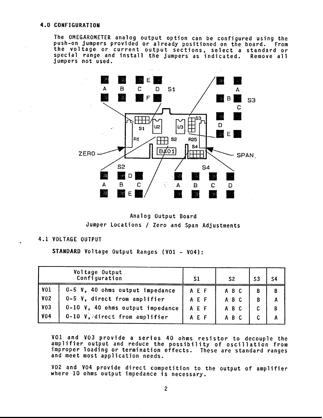#### **4.0 CONFIGURATION**

The OMEGAROMETER analog output option can be configured using the push-on jumpers provided or already positioned on the board. From the voltage or current output sections, select a standard or special range and install the jumpers as indicated. Remove all jumpers not used.



Analog Output Board Jumper Locations / Zero and Span Adjustments

#### 4.1 VOLTAGE OUTPUT

STANDARD Voltage Output Ranges (VO1 - VO4):

|                 | Voltage Output<br>Configuration  | S1  | S <sub>2</sub> | S <sub>3</sub> | S4 |
|-----------------|----------------------------------|-----|----------------|----------------|----|
| <b>V01</b>      | 0-5 V, 40 ohms output impedance  | AEF | A B C          | B              | B  |
| <b>V02</b>      | 0-5 V, direct from amplifier     | AEF | A B C          | B              | A  |
| V <sub>03</sub> | 0-10 V, 40 ohms output impedance | AEF | A B C          | $\mathbf{c}$   | B  |
| <b>V04</b>      | 0-10 V, direct from amplifier    | AEF | A B C          | C.             | A  |

V01 and V03 provide a series 40 ohms resistor to decouple the amplifier output and reduce the possibility of oscillation from improper loading or termination effects. These are standard ranges and meet most application needs.

V02 and V04 provide direct competition to the output of amplifier where 10 ohms output impedance is necessary.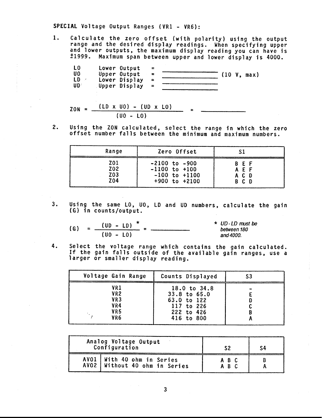SPECIAL Voltage Output Ranges (VR1 - VR6):

Calculate the zero offset (with polarity) using the output<br>range and the desired display readings. When specifying upper  $1.$ and lower outputs, the maximum display reading you can have is ±1999. Maximum span between upper and lower display is 4000.

$$
ZON = \frac{(LD \times U0) - (UD \times L0)}{(U0 - L0)} =
$$

 $2.$ Using the ZON calculated, select the range in which the zero offset number falls between the minimum and maximum numbers.

| Range            | Zero Offset       | S1    |
|------------------|-------------------|-------|
| <b>Z01</b>       | $-2100$ to $-900$ | B E F |
| Z <sub>0</sub> 2 | $-1100$ to $+100$ | AFF   |
| Z03              | $-100$ to $+1100$ | A C D |
| <b>Z04</b>       | $+900$ to $+2100$ | B C D |

Using the same LO, UO, LD and UD numbers, calculate the gain  $3.$ (G) in counts/output.

\n
$$
(G) = \frac{(UD - LD)^*}{(U - LO)} = \frac{VD \cdot LD \cdot LD \cdot MD \cdot \text{the } U - \text{the } U - \text{the } U - \text{the } U - \text{the } U - \text{the } U - \text{the } U - \text{the } U - \text{the } U - \text{the } U - \text{the } U - \text{the } U - \text{the } U - \text{the } U - \text{the } U - \text{the } U - \text{the } U - \text{the } U - \text{the } U - \text{the } U - \text{the } U - \text{the } U - \text{the } U - \text{the } U - \text{the } U - \text{the } U - \text{the } U - \text{the } U - \text{the } U - \text{the } U - \text{the } U - \text{the } U - \text{the } U - \text{the } U - \text{the } U - \text{the } U - \text{the } U - \text{the } U - \text{the } U - \text{the } U - \text{the } U - \text{the } U - \text{the } U - \text{the } U - \text{the } U - \text{the } U - \text{the } U - \text{the } U - \text{the } U - \text{the } U - \text{the } U - \text{the } U - \text{the } U - \text{the } U - \text{the } U - \text{the } U - \text{the } U - \text{the } U - \text{the } U - \text{the } U - \text{the } U - \text{the } U - \text{the } U - \text{the } U - \text{the } U - \text{the } U - \text{the } U - \text{the } U - \text{the } U - \text{the } U - \text{the } U - \text{the } U - \text{the } U - \text{the } U - \text{the } U - \text{the } U - \text{the } U - \text{the } U - \text{the } U - \text{the } U - \text{the } U - \text{the } U - \text{the } U - \text{the } U - \text{the } U - \text{the } U - \text{the } U - \text{the } U - \text{the } U - \text{the } U - \text{the } U - \text{the } U - \text{the } U - \text{the } U - \text{the } U - \text{the } U - \text{the } U - \text{the } U - \text{the } U - \text{the } U - \text{the } U - \text{the } U - \text{the } U - \text{the }
$$

Select the voltage range which contains the gain calculated. 4. If the gain falls outside of the available gain ranges, use a larger or smaller display reading.

| Voltage Gain Range                                 | Counts Displayed                                                                        | S3 |
|----------------------------------------------------|-----------------------------------------------------------------------------------------|----|
| VR1<br>VR <sub>2</sub><br>VR3<br>VR4<br>VR5<br>VR6 | 18.0 to $34.8$<br>33.8 to 65.0<br>63.0 to 122<br>117 to 226<br>222 to 426<br>416 to 800 | B  |

| Analog Voltage Output<br>Configuration                        | 52             |  |
|---------------------------------------------------------------|----------------|--|
| AV01   With 40 ohm in Series<br>AVO2 Without 40 ohm in Series | A B C<br>A B C |  |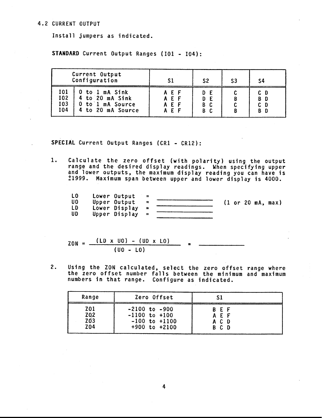#### **4.2 CURRENT OUTPUT**

Install jumpers as indicated.

STANDARD Current Output Ranges (101 - 104):

|                          | Current Output<br>Configuration                                            |                            | S2       | S3 | S4         |
|--------------------------|----------------------------------------------------------------------------|----------------------------|----------|----|------------|
| 101<br>I02<br>103<br>104 | O to 1 mA Sink<br>4 to 20 mA Sink<br>0 to 1 mA Source<br>4 to 20 mA Source | AEF<br>AEF<br>AEF<br>A F F | D<br>B C |    | B D<br>B D |

SPECIAL Current Output Ranges (CR1 - CR12):

 $1.$ Calculate the zero offset (with polarity) using the output range and the desired display readings. When specifying upper and lower outputs, the maximum display reading you can have is<br>
1999. Maximum span between upper and lower display is 4000.

| L <sub>0</sub> | Lower Output  |          |  |  |                                             |
|----------------|---------------|----------|--|--|---------------------------------------------|
| U0             | Upper Output  | $\equiv$ |  |  | $(1 \text{ or } 20 \text{ mA}, \text{max})$ |
| LD             | Lower Display |          |  |  |                                             |
| UD             | Upper Display |          |  |  |                                             |

$$
ZON = \frac{(LD \times U0) - (UD \times L0)}{(U0 - L0)} =
$$

Using the ZON calculated, select the zero offset range where<br>the zero offset number falls between the minimum and maximum<br>numbers in that range. Configure as indicated.  $2.$ 

| Range            | Zero Offset       | S1    |  |
|------------------|-------------------|-------|--|
| <b>Z01</b>       | $-2100$ to $-900$ | B E F |  |
| Z <sub>0.2</sub> | $-1100$ to $+100$ | AEF   |  |
| Z03              | $-100$ to $+1100$ | A C D |  |
| Z <sub>0</sub> 4 | $+900$ to $+2100$ | B C D |  |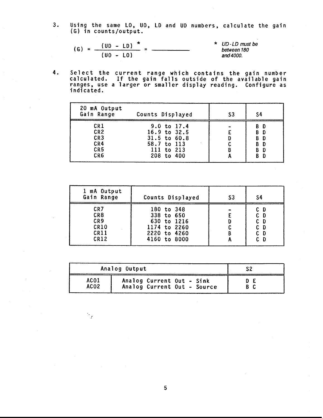$3.$ Using the same LO, UO, LD and UD numbers, calculate the gain (G) in counts/output.

$$
(G) = \frac{(UD - LD)^{*}}{(UD - LO)} = \frac{*UD-LD \text{ must be between 180}}{\text{between 180} \text{ and } 4000}.
$$

Select the current range which contains the gain number<br>calculated. If the gain falls outside of the available gain<br>ranges, use a larger or smaller display reading. Configure as 4. indicated.

| 20 mA Output<br>Gain Range                                     | Counts Displayed                                                                           | S3 | S4                                           |
|----------------------------------------------------------------|--------------------------------------------------------------------------------------------|----|----------------------------------------------|
| CR1<br>CR <sub>2</sub><br>CR <sub>3</sub><br>CR4<br>CR5<br>CR6 | 9.0 to 17.4<br>$16.9$ to $32.5$<br>31.5 to 60.8<br>58.7 to 113<br>111 to 213<br>208 to 400 | B  | В<br>- D<br>BD<br>B D<br>BD<br>B D<br>B<br>Ð |

| 1 mA Output<br>Gain Range | Counts Displayed | S <sub>3</sub> | S4    |
|---------------------------|------------------|----------------|-------|
| CR7                       | 180 to 348       | B              | C D   |
| CR8                       | 338 to 650       |                | $C$ D |
| CR <sub>9</sub>           | 630 to 1216      |                | C D   |
| <b>CR10</b>               | 1174 to 2260     |                | C D   |
| CR11                      | 2220 to 4260     |                | C D   |
| CR12                      | 4160 to 8000     |                | C D   |

|                  | Analog Output               |     |
|------------------|-----------------------------|-----|
| AC01             | Analog Current Out - Sink   | D E |
| ACO <sub>2</sub> | Analog Current Out - Source | BC. |

5

 $\mathcal{N}_f$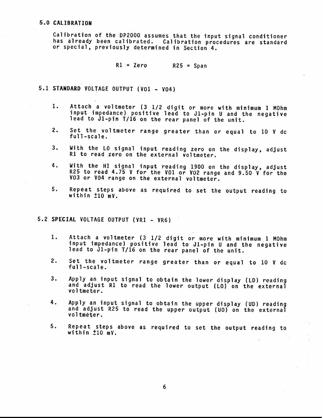#### 5.0 CALIBRATION

Calibration of the DP2000 assumes that the input signal conditioner has already been calibrated. Calibration procedures are standard or special, previously determined in Section 4.

> $R1 = Zero$  $R25 = Span$

5.1 STANDARD VOLTAGE OUTPUT (VO1 - VO4)

- Attach a voltmeter (3 1/2 digit or more with minimum 1 MOhm  $1.$ input impedance) positive lead to J1-pin U and the negative lead to J1-pin T/16 on the rear panel of the unit.
- 2. Set the voltmeter range greater than or equal to 10 V dc full-scale.
- With the LO signal input reading zero on the display, adjust  $3.$ R1 to read zero on the external voltmeter.
- With the HI signal input reading 1900 on the display, adjust 4. R25 to read 4.75 V for the VO1 or VO2 range and 9.50 V for the V03 or V04 range on the external voltmeter.
- $5.$ Repeat steps above as required to set the output reading to within  $\pm 10$  mV.

#### 5.2 SPECIAL VOLTAGE OUTPUT (VR1 - VR6)

- $1.$ Attach a voltmeter (3 1/2 digit or more with minimum 1 MOhm input impedance) positive lead to J1-pin U and the negative lead to J1-pin T/16 on the rear panel of the unit.
- $2.$ Set the voltmeter range greater than or equal to 10 V dc full-scale.
- $3.$ Apply an input signal to obtain the lower display (LD) reading and adjust R1 to read the lower output (LO) on the external voltmeter.
- Apply an input signal to obtain the upper display (UD) reading 4. and adjust R25 to read the upper output (UO) on the external voltmeter.
- 5. Repeat steps above as required to set the output reading to within  $\pm 10$  mV.

6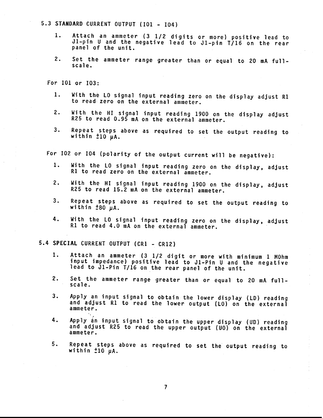#### 5.3 STANDARD CURRENT OUTPUT (101 - 104)

- 1. Attach an ammeter (3 1/2 digits or more) positive lead to J1-pin U and the negative lead to J1-pin T/16 on the rear panel of the unit.
- $2.$ Set the ammeter range greater than or equal to 20 mA fullscale.

For 101 or 103:

- $1.$ With the LO signal input reading zero on the display adjust R1 to read zero on the external ammeter.
- With the HI signal input reading 1900 on the display adjust  $2.$ R25 to read 0.95 mA on the external ammeter.
- Repeat steps above as required to set the output reading to  $3.$ within  $\pm 10$   $\mu$ A.

For I02 or I04 (polarity of the output current will be negative):

- $1.$ With the LO signal input reading zero on the display, adjust R1 to read zero on the external ammeter.
- With the HI signal input reading 1900 on the display, adjust  $2.$ R25 to read 15.2 mA on the external ammeter.
- $3.$ Repeat steps above as required to set the output reading to within  $\pm 80$   $\mu$ A.
- With the LO signal input reading zero on the display, adjust 4. R1 to read 4.0 mA on the external ammeter.

5.4 SPECIAL CURRENT OUTPUT (CR1 - CR12)

- Attach an ammeter (3 1/2 digit or more with minimum 1 MOhm 1. input impedance) positive lead to J1-Pin U and the negative<br>lead to J1-Pin T/16 on the rear panel of the unit.
- $2.$ Set the ammeter range greater than or equal to 20 mA fullscale.
- $3.$ Apply an input signal to obtain the lower display (LD) reading and adjust R1 to read the lower output (LO) on the external ammeter.
- 4. Apply án input signal to obtain the upper display (UD) reading and adjust R25 to read the upper output (UO) on the external ammeter.
- Repeat steps above as required to set the output reading to 5. within  $\pm 10$  uA.

 $\overline{7}$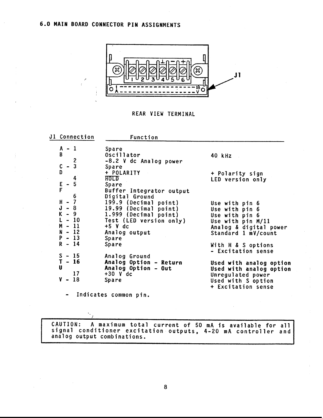

REAR VIEW TERMINAL

| J1 Connection                                          | Function                                              |                                                                         |
|--------------------------------------------------------|-------------------------------------------------------|-------------------------------------------------------------------------|
| $A - 1$<br>$\, {\bf B}$                                | Spare<br>Oscillator<br>-8.2 V dc Analog power         | 40 kHz                                                                  |
| $-\frac{2}{3}$<br>$\begin{matrix} C \\ D \end{matrix}$ | Spare<br>+ POLARITY                                   | + Polarity sign                                                         |
| 4<br>$-5$<br>$rac{E}{F}$                               | <b>HOLD</b><br>Spare<br>Buffer Integrator output      | LED version only                                                        |
| 6<br>$H - 7$                                           | Digital Ground<br>199.9 (Decimal point)               | Use with pin 6                                                          |
| J<br>$-8$<br>$-9$<br>$-10$                             | 19.99 (Decimal point)<br>1.999 (Decimal point)        | Use with pin 6<br>Use with pin 6                                        |
| $M - 11$<br>$N - 12$                                   | Test (LED version only)<br>$+5$ V dc<br>Analog output | Use with pin M/11<br>Analog & digital power<br>Standard 1 mV/count      |
| $P - 13$<br>$R - 14$                                   | Spare<br>Spare                                        | With H & S options                                                      |
| $S - 15$<br>$T - 16$                                   | Analog Ground<br>Analog Option - Return               | - Excitation sense                                                      |
| U<br>17                                                | Analog Option - Out<br>$+30$ V dc                     | Used with analog option<br>Used with analog option<br>Unregulated power |
| $V -$<br>18                                            | Spare                                                 | Used with S option<br>+ Excitation sense                                |
| $\blacksquare$                                         | Indicates common pin.                                 |                                                                         |

CAUTION: A maximum total current of 50 mA is available for all<br>signal conditioner excitation outputs, 4-20 mA controller and<br>analog output combinations.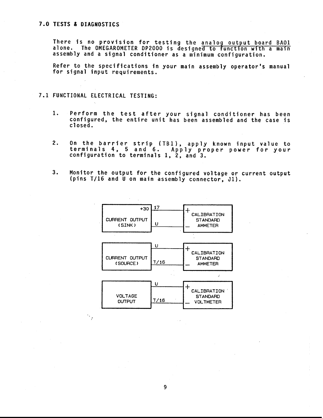#### 7.0 TESTS & DIAGNOSTICS

There is no provision for testing the analog output board BAO1 alone. The OMEGAROMETER DP2000 is designed to function with a main assembly and a signal conditioner as a minimum configuration.

Refer to the specifications in your main assembly operator's manual for signal input requirements.

#### 7.1 FUNCTIONAL ELECTRICAL TESTING:

- Perform the test after your signal conditioner has been<br>configured, the entire unit has been assembled and the case is  $1.$ closed.
- On the barrier strip (TB1), apply known input value to<br>terminals 4, 5 and 6. Apply proper power for your  $2.$ configuration to terminals  $1, 2, and 3.$
- $3.$ Monitor the output for the configured voltage or current output (pins T/16 and U on main assembly connector, J1).



9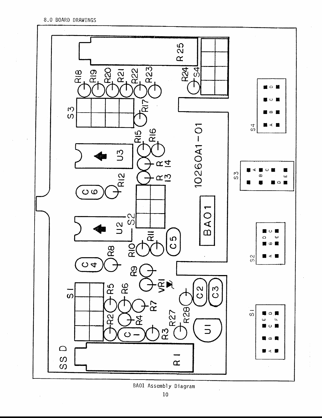

BA01 Assembly Diagram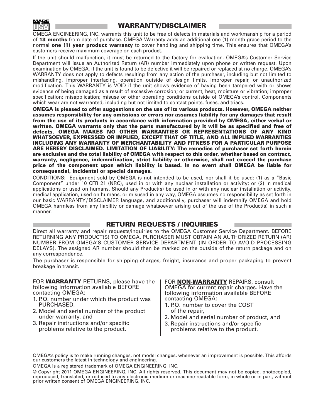

### **WARRANTY/DISCLAIMER**

OMEGA ENGINEERING, INC. warrants this unit to be free of defects in materials and workmanship for a period of **13 months** from date of purchase. OMEGA Warranty adds an additional one (1) month grace period to the normal **one (1) year product warranty** to cover handling and shipping time. This ensures that OMEGA's customers receive maximum coverage on each product.

If the unit should malfunction, it must be returned to the factory for evaluation. OMEGA's Customer Service Department will issue an Authorized Return (AR) number immediately upon phone or written request. Upon examination by OMEGA, if the unit is found to be defective it will be repaired or replaced at no charge. OMEGA's WARRANTY does not apply to defects resulting from any action of the purchaser, including but not limited to mishandling, improper interfacing, operation outside of design limits, improper repair, or unauthorized modification. This WARRANTY is VOID if the unit shows evidence of having been tampered with or shows evidence of being damaged as a result of excessive corrosion; or current, heat, moisture or vibration; improper specification; misapplication; misuse or other operating conditions outside of OMEGA's control. Components which wear are not warranted, including but not limited to contact points, fuses, and triacs.

**OMEGA is pleased to offer suggestions on the use of its various products. However, OMEGA neither assumes responsibility for any omissions or errors nor assumes liability for any damages that result from the use of its products in accordance with information provided by OMEGA, either verbal or written. OMEGA warrants only that the parts manufactured by it will be as specified and free of defects. OMEGA MAKES NO OTHER WARRANTIES OR REPRESENTATIONS OF ANY KIND WHATSOEVER, EXPRESSED OR IMPLIED, EXCEPT THAT OF TITLE, AND ALL IMPLIED WARRANTIES INCLUDING ANY WARRANTY OF MERCHANTABILITY AND FITNESS FOR A PARTICULAR PURPOSE ARE HEREBY DISCLAIMED. LIMITATION OF LIABILITY: The remedies of purchaser set forth herein are exclusive and the total liability of OMEGA with respect to this order, whether based on contract, warranty, negligence, indemnification, strict liability or otherwise, shall not exceed the purchase price of the component upon which liability is based. In no event shall OMEGA be liable for consequential, incidental or special damages.**

CONDITIONS: Equipment sold by OMEGA is not intended to be used, nor shall it be used: (1) as a "Basic Component" under 10 CFR 21 (NRC), used in or with any nuclear installation or activity; or (2) in medical applications or used on humans. Should any Product(s) be used in or with any nuclear installation or activity, medical application, used on humans, or misused in any way, OMEGA assumes no responsibility as set forth in our basic WARRANTY/ DISCLAIMER language, and additionally, purchaser will indemnify OMEGA and hold OMEGA harmless from any liability or damage whatsoever arising out of the use of the Product(s) in such a manner.

#### **RETURN REQUESTS / INQUIRIES**

Direct all warranty and repair requests/inquiries to the OMEGA Customer Service Department. BEFORE RETURNING ANY PRODUCT(S) TO OMEGA, PURCHASER MUST OBTAIN AN AUTHORIZED RETURN (AR) NUMBER FROM OMEGA'S CUSTOMER SERVICE DEPARTMENT (IN ORDER TO AVOID PROCESSING DELAYS). The assigned AR number should then be marked on the outside of the return package and on any correspondence.

The purchaser is responsible for shipping charges, freight, insurance and proper packaging to prevent breakage in transit.

#### FOR **WARRANTY** RETURNS, please have the following information available BEFORE contacting OMEGA:

- 1. P.O. number under which the product was PURCHASED,
- 2. Model and serial number of the product under warranty, and
- 3. Repair instructions and/or specific problems relative to the product.

FOR **NON-WARRANTY** REPAIRS, consult OMEGA for current repair charges. Have the following information available BEFORE contacting OMEGA:

- 1. P.O. number to cover the COST of the repair,
- 2. Model and serial number of product, and
- 3. Repair instructions and/or specific problems relative to the product.

OMEGA's policy is to make running changes, not model changes, whenever an improvement is possible. This affords our customers the latest in technology and engineering.

OMEGA is a registered trademark of OMEGA ENGINEERING, INC.

© Copyright 2011 OMEGA ENGINEERING, INC. All rights reserved. This document may not be copied, photocopied, reproduced, translated, or reduced to any electronic medium or machine-readable form, in whole or in part, without prior written consent of OMEGA ENGINEERING, INC.